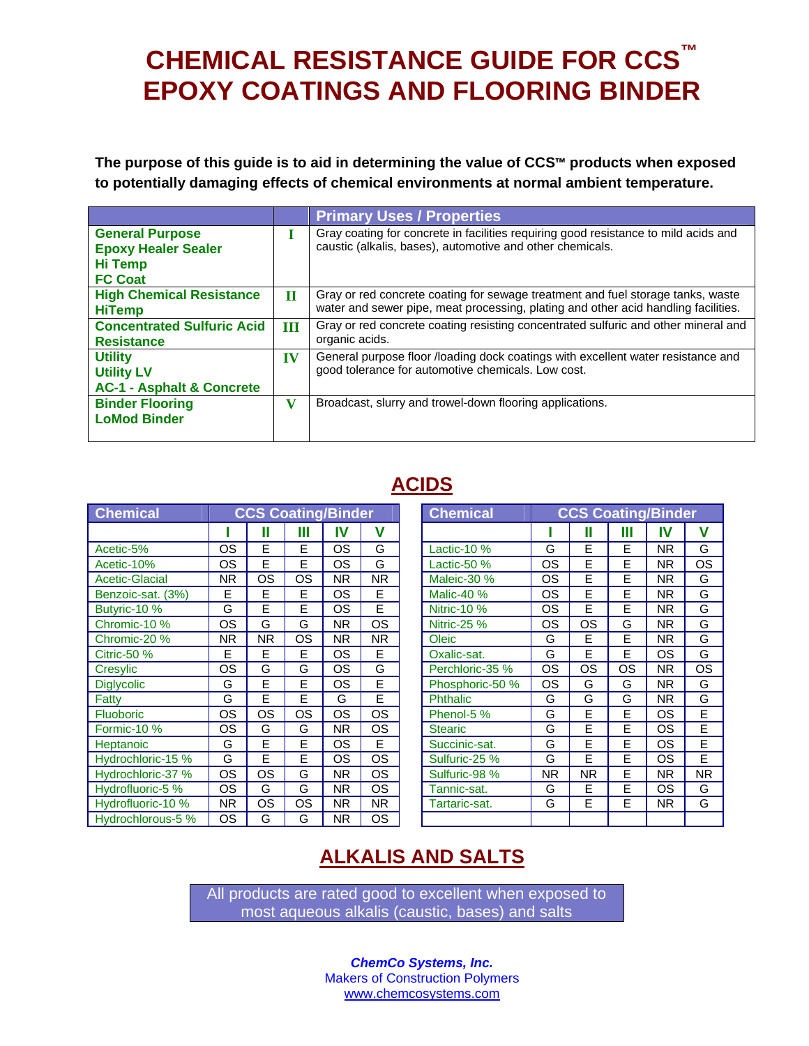# **CHEMICAL RESISTANCE GUIDE FOR CCS™ EPOXY COATINGS AND FLOORING BINDER**

**The purpose of this guide is to aid in determining the value of CCS™ products when exposed to potentially damaging effects of chemical environments at normal ambient temperature.** 

|                                                                                          |             | <b>Primary Uses / Properties</b>                                                                                                                                      |
|------------------------------------------------------------------------------------------|-------------|-----------------------------------------------------------------------------------------------------------------------------------------------------------------------|
| <b>General Purpose</b><br><b>Epoxy Healer Sealer</b><br><b>Hi Temp</b><br><b>FC Coat</b> | н           | Gray coating for concrete in facilities requiring good resistance to mild acids and<br>caustic (alkalis, bases), automotive and other chemicals.                      |
| <b>High Chemical Resistance</b><br><b>HiTemp</b>                                         | $\mathbf H$ | Gray or red concrete coating for sewage treatment and fuel storage tanks, waste<br>water and sewer pipe, meat processing, plating and other acid handling facilities. |
| <b>Concentrated Sulfuric Acid</b><br><b>Resistance</b>                                   | Ш           | Gray or red concrete coating resisting concentrated sulfuric and other mineral and<br>organic acids.                                                                  |
| <b>Utility</b><br><b>Utility LV</b><br><b>AC-1 - Asphalt &amp; Concrete</b>              | IV          | General purpose floor /loading dock coatings with excellent water resistance and<br>good tolerance for automotive chemicals. Low cost.                                |
| <b>Binder Flooring</b><br><b>LoMod Binder</b>                                            | v           | Broadcast, slurry and trowel-down flooring applications.                                                                                                              |

## **ACIDS**

| <b>Chemical</b>       | <b>CCS Coating/Binder</b> |           |           |                |                |  | <b>Chemical</b> | <b>CCS Coating/Binder</b> |           |           |           |           |
|-----------------------|---------------------------|-----------|-----------|----------------|----------------|--|-----------------|---------------------------|-----------|-----------|-----------|-----------|
|                       |                           | Ш         | Ш         | IV             | v              |  |                 |                           | Ш         | Ш         | IV        | V         |
| Acetic-5%             | OS                        | E         | E         | OS             | G              |  | Lactic-10 %     | G                         | E         | E         | <b>NR</b> | G         |
| Acetic-10%            | <b>OS</b>                 | E         | E         | <b>OS</b>      | G              |  | Lactic-50 %     | OS                        | E         | E         | <b>NR</b> | <b>OS</b> |
| <b>Acetic-Glacial</b> | NR.                       | OS        | <b>OS</b> | NR.            | N <sub>R</sub> |  | Maleic-30 %     | OS.                       | E         | E         | NR.       | G         |
| Benzoic-sat. (3%)     | E                         | Е         | E         | OS             | E              |  | Malic-40 %      | OS                        | E         | E         | <b>NR</b> | G         |
| Butyric-10 %          | G                         | E         | E         | <b>OS</b>      | E              |  | Nitric-10 %     | <b>OS</b>                 | E         | E         | NR.       | G         |
| Chromic-10 %          | OS                        | G         | G         | N <sub>R</sub> | <b>OS</b>      |  | Nitric-25 %     | <b>OS</b>                 | <b>OS</b> | G         | NR.       | G         |
| Chromic-20 %          | NR.                       | <b>NR</b> | OS        | N <sub>R</sub> | <b>NR</b>      |  | Oleic           | G                         | E         | E         | <b>NR</b> | G         |
| <b>Citric-50 %</b>    | Е                         | E         | Е         | OS             | E              |  | Oxalic-sat.     | G                         | E         | E         | OS        | G         |
| Cresylic              | OS                        | G         | G         | <b>OS</b>      | G              |  | Perchloric-35 % | <b>OS</b>                 | <b>OS</b> | <b>OS</b> | <b>NR</b> | <b>OS</b> |
| <b>Diglycolic</b>     | G                         | Е         | E         | OS             | E              |  | Phosphoric-50 % | OS                        | G         | G         | NR.       | G         |
| Fatty                 | G                         | E         | E         | G              | E              |  | <b>Phthalic</b> | G                         | G         | G         | <b>NR</b> | G         |
| <b>Fluoboric</b>      | <b>OS</b>                 | OS        | <b>OS</b> | <b>OS</b>      | <b>OS</b>      |  | Phenol-5 %      | G                         | E         | E         | OS        | E         |
| Formic-10 %           | <b>OS</b>                 | G         | G         | N <sub>R</sub> | <b>OS</b>      |  | <b>Stearic</b>  | G                         | E         | E         | <b>OS</b> | E         |
| <b>Heptanoic</b>      | G                         | E         | E         | <b>OS</b>      | E              |  | Succinic-sat.   | G                         | E         | Е         | <b>OS</b> | E         |
| Hydrochloric-15 %     | G                         | E         | E         | OS             | <b>OS</b>      |  | Sulfuric-25 %   | G                         | E         | E         | OS        | E         |
| Hydrochloric-37 %     | <b>OS</b>                 | OS        | G         | NR.            | <b>OS</b>      |  | Sulfuric-98 %   | <b>NR</b>                 | <b>NR</b> | E         | <b>NR</b> | <b>NR</b> |
| Hydrofluoric-5 %      | <b>OS</b>                 | G         | G         | NR.            | <b>OS</b>      |  | Tannic-sat.     | G                         | E         | E         | <b>OS</b> | G         |
| Hydrofluoric-10 %     | NR.                       | OS        | <b>OS</b> | NR.            | <b>NR</b>      |  | Tartaric-sat.   | G                         | E         | E         | NR.       | G         |
| Hydrochlorous-5 %     | <b>OS</b>                 | G         | G         | ΝR             | <b>OS</b>      |  |                 |                           |           |           |           |           |

| <b>CCS Coating/Binder</b> |     |    |           |           | <b>Chemical</b>    |    | <b>CCS Coating/Binder</b> |    |           |           |
|---------------------------|-----|----|-----------|-----------|--------------------|----|---------------------------|----|-----------|-----------|
|                           | Ш   | Ш  | IV        | v         |                    |    | П                         | Ш  | IV        | v         |
| λS                        | E   | E  | OS        | G         | Lactic-10 %        | G  | F                         | E  | NR.       | G         |
| λS                        | E   | E  | OS        | G         | Lactic-50 %        | OS | F                         | E  | NR.       | OS        |
| ΙR                        | OS  | OS | NR.       | <b>NR</b> | Maleic-30 %        | ΟS | E                         | E  | NR.       | G         |
| E                         | E   | Е  | OS        | Е         | Malic-40 %         | ΟS | E                         | E  | NR.       | G         |
| $\overline{\mathsf{c}}$   | E   | E  | OS        | E         | <b>Nitric-10 %</b> | OS | F                         | E  | NR.       | G         |
| λS                        | G   | G  | <b>NR</b> | OS        | Nitric-25 %        | ΟS | OS                        | G  | <b>NR</b> | G         |
| $\overline{\mathbb{R}}$   | NR. | OS | <b>NR</b> | NR.       | Oleic              | G  | E                         | E  | <b>NR</b> | G         |
| Ē                         | E   | E  | OS        | E         | Oxalic-sat.        | G  | E                         | E  | OS        | G         |
| )S                        | G   | G  | OS        | G         | Perchloric-35 %    | OS | OS                        | OS | NR.       | OS        |
| $\overline{\mathsf{B}}$   | E   | E  | OS        | E         | Phosphoric-50 %    | ОS | G                         | G  | NR.       | G         |
| 3                         | E   | E  | G         | E         | Phthalic           | G  | G                         | G  | NR.       | G         |
| )S                        | OS  | OS | OS        | OS        | Phenol-5 %         | G  | E                         | E  | OS        | E         |
| ΙS                        | G   | G  | <b>NR</b> | OS        | <b>Stearic</b>     | G  | F                         | E  | OS        | E         |
| $\overline{\mathsf{B}}$   | E   | E  | <b>OS</b> | Е         | Succinic-sat.      | G  | F                         | E  | OS        | E         |
| $\overline{\mathsf{d}}$   | E   | Е  | ОS        | <b>OS</b> | Sulfuric-25 %      | G  | E                         | Е  | ΟS        | E         |
| )S                        | OS  | G  | <b>NR</b> | OS        | Sulfuric-98 %      | ΝR | <b>NR</b>                 | E  | NR.       | <b>NR</b> |
| λS                        | G   | G  | <b>NR</b> | OS        | Tannic-sat.        | G  | E                         | E  | ΟS        | G         |
| IR.                       | OS  | OS | <b>NR</b> | NR.       | Tartaric-sat.      | G  | F                         | E  | <b>NR</b> | G         |
| υS                        | G   | G  | NR.       | OS.       |                    |    |                           |    |           |           |

# **ALKALIS AND SALTS**

All products are rated good to excellent when exposed to most aqueous alkalis (caustic, bases) and salts

> *ChemCo Systems, Inc.*  Makers of Construction Polymers www.chemcosystems.com